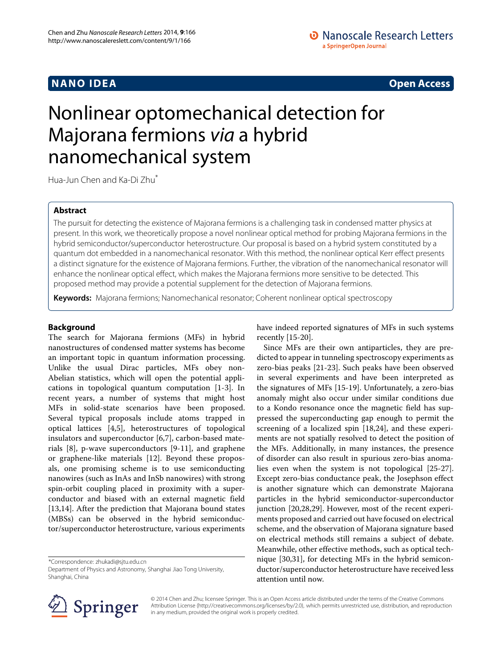# **NANO IDEA** Open Access **Contract Contract Contract Contract Contract Contract Contract Contract Contract Contract Contract Contract Contract Contract Contract Contract Contract Contract Contract Contract Contract Contract**

# Nonlinear optomechanical detection for Majorana fermions *via* a hybrid nanomechanical system

Hua-Jun Chen and Ka-Di Zhu\*

## **Abstract**

The pursuit for detecting the existence of Majorana fermions is a challenging task in condensed matter physics at present. In this work, we theoretically propose a novel nonlinear optical method for probing Majorana fermions in the hybrid semiconductor/superconductor heterostructure. Our proposal is based on a hybrid system constituted by a quantum dot embedded in a nanomechanical resonator. With this method, the nonlinear optical Kerr effect presents a distinct signature for the existence of Majorana fermions. Further, the vibration of the nanomechanical resonator will enhance the nonlinear optical effect, which makes the Majorana fermions more sensitive to be detected. This proposed method may provide a potential supplement for the detection of Majorana fermions.

**Keywords:** Majorana fermions; Nanomechanical resonator; Coherent nonlinear optical spectroscopy

## **Background**

The search for Majorana fermions (MFs) in hybrid nanostructures of condensed matter systems has become an important topic in quantum information processing. Unlike the usual Dirac particles, MFs obey non-Abelian statistics, which will open the potential applications in topological quantum computation [\[1](#page-5-0)[-3\]](#page-5-1). In recent years, a number of systems that might host MFs in solid-state scenarios have been proposed. Several typical proposals include atoms trapped in optical lattices [\[4](#page-5-2)[,5\]](#page-5-3), heterostructures of topological insulators and superconductor [\[6,](#page-5-4)[7\]](#page-5-5), carbon-based materials [\[8\]](#page-5-6), p-wave superconductors [\[9](#page-5-7)[-11\]](#page-5-8), and graphene or graphene-like materials [\[12\]](#page-5-9). Beyond these proposals, one promising scheme is to use semiconducting nanowires (such as InAs and InSb nanowires) with strong spin-orbit coupling placed in proximity with a superconductor and biased with an external magnetic field [\[13,](#page-5-10)[14\]](#page-5-11). After the prediction that Majorana bound states (MBSs) can be observed in the hybrid semiconductor/superconductor heterostructure, various experiments

\*Correspondence: [zhukadi@sjtu.edu.cn](mailto: zhukadi@sjtu.edu.cn)

Department of Physics and Astronomy, Shanghai Jiao Tong University, Shanghai, China

have indeed reported signatures of MFs in such systems recently [\[15](#page-5-12)[-20\]](#page-5-13).

Since MFs are their own antiparticles, they are predicted to appear in tunneling spectroscopy experiments as zero-bias peaks [\[21](#page-5-14)[-23\]](#page-5-15). Such peaks have been observed in several experiments and have been interpreted as the signatures of MFs [\[15](#page-5-12)[-19\]](#page-5-16). Unfortunately, a zero-bias anomaly might also occur under similar conditions due to a Kondo resonance once the magnetic field has suppressed the superconducting gap enough to permit the screening of a localized spin [\[18](#page-5-17)[,24\]](#page-5-18), and these experiments are not spatially resolved to detect the position of the MFs. Additionally, in many instances, the presence of disorder can also result in spurious zero-bias anomalies even when the system is not topological [\[25](#page-5-19)[-27\]](#page-5-20). Except zero-bias conductance peak, the Josephson effect is another signature which can demonstrate Majorana particles in the hybrid semiconductor-superconductor junction [\[20,](#page-5-13)[28](#page-5-21)[,29\]](#page-5-22). However, most of the recent experiments proposed and carried out have focused on electrical scheme, and the observation of Majorana signature based on electrical methods still remains a subject of debate. Meanwhile, other effective methods, such as optical technique [\[30,](#page-5-23)[31\]](#page-5-24), for detecting MFs in the hybrid semiconductor/superconductor heterostructure have received less attention until now.



© 2014 Chen and Zhu; licensee Springer. This is an Open Access article distributed under the terms of the Creative Commons Attribution License [\(http://creativecommons.org/licenses/by/2.0\)](http://creativecommons.org/licenses/by/2.0), which permits unrestricted use, distribution, and reproduction in any medium, provided the original work is properly credited.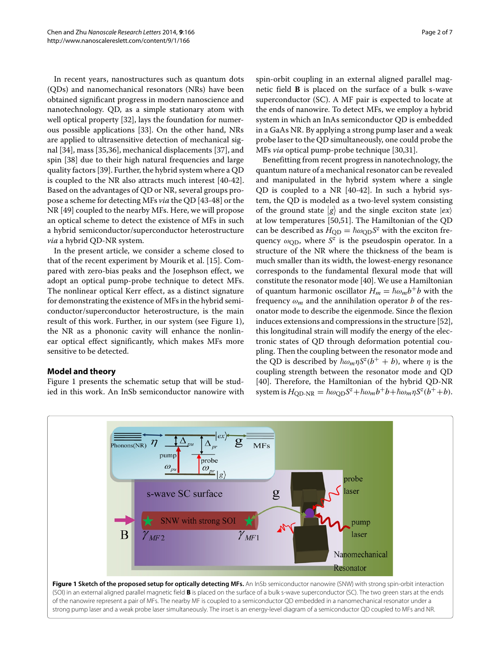In recent years, nanostructures such as quantum dots (QDs) and nanomechanical resonators (NRs) have been obtained significant progress in modern nanoscience and nanotechnology. QD, as a simple stationary atom with well optical property [\[32\]](#page-5-25), lays the foundation for numerous possible applications [\[33\]](#page-5-26). On the other hand, NRs are applied to ultrasensitive detection of mechanical signal [\[34\]](#page-5-27), mass [\[35](#page-5-28)[,36\]](#page-5-29), mechanical displacements [\[37\]](#page-5-30), and spin [\[38\]](#page-5-31) due to their high natural frequencies and large quality factors [\[39\]](#page-5-32). Further, the hybrid system where a QD is coupled to the NR also attracts much interest [\[40](#page-5-33)[-42\]](#page-5-34). Based on the advantages of QD or NR, several groups propose a scheme for detecting MFs *via* the QD [\[43-](#page-5-35)[48\]](#page-6-0) or the NR [\[49\]](#page-6-1) coupled to the nearby MFs. Here, we will propose an optical scheme to detect the existence of MFs in such a hybrid semiconductor/superconductor heterostructure *via* a hybrid QD-NR system.

In the present article, we consider a scheme closed to that of the recent experiment by Mourik et al. [\[15\]](#page-5-12). Compared with zero-bias peaks and the Josephson effect, we adopt an optical pump-probe technique to detect MFs. The nonlinear optical Kerr effect, as a distinct signature for demonstrating the existence of MFs in the hybrid semiconductor/superconductor heterostructure, is the main result of this work. Further, in our system (see Figure [1\)](#page-1-0), the NR as a phononic cavity will enhance the nonlinear optical effect significantly, which makes MFs more sensitive to be detected.

## **Model and theory**

Figure [1](#page-1-0) presents the schematic setup that will be studied in this work. An InSb semiconductor nanowire with spin-orbit coupling in an external aligned parallel magnetic field **B** is placed on the surface of a bulk s-wave superconductor (SC). A MF pair is expected to locate at the ends of nanowire. To detect MFs, we employ a hybrid system in which an InAs semiconductor QD is embedded in a GaAs NR. By applying a strong pump laser and a weak probe laser to the QD simultaneously, one could probe the MFs *via* optical pump-probe technique [\[30](#page-5-23)[,31\]](#page-5-24).

Benefitting from recent progress in nanotechnology, the quantum nature of a mechanical resonator can be revealed and manipulated in the hybrid system where a single QD is coupled to a NR [\[40](#page-5-33)[-42\]](#page-5-34). In such a hybrid system, the QD is modeled as a two-level system consisting of the ground state  $|g\rangle$  and the single exciton state  $|ex\rangle$ at low temperatures [\[50](#page-6-2)[,51\]](#page-6-3). The Hamiltonian of the QD can be described as  $H_{\text{QD}} = \hbar \omega_{\text{QD}} S^z$  with the exciton frequency  $\omega_{\text{OD}}$ , where  $S^z$  is the pseudospin operator. In a structure of the NR where the thickness of the beam is much smaller than its width, the lowest-energy resonance corresponds to the fundamental flexural mode that will constitute the resonator mode [\[40\]](#page-5-33). We use a Hamiltonian of quantum harmonic oscillator  $H_m = \hbar \omega_m b^+ b$  with the frequency  $\omega_m$  and the annihilation operator *b* of the resonator mode to describe the eigenmode. Since the flexion induces extensions and compressions in the structure [\[52\]](#page-6-4), this longitudinal strain will modify the energy of the electronic states of QD through deformation potential coupling. Then the coupling between the resonator mode and the QD is described by  $\hbar \omega_m \eta S^z(b^+ + b)$ , where  $\eta$  is the coupling strength between the resonator mode and QD [\[40\]](#page-5-33). Therefore, the Hamiltonian of the hybrid QD-NR  $\sinh B_{\text{QD-NR}} = \hbar \omega_{\text{QD}} S^z + \hbar \omega_m b^+ b + \hbar \omega_m \eta S^z (b^+ + b).$ 

<span id="page-1-0"></span>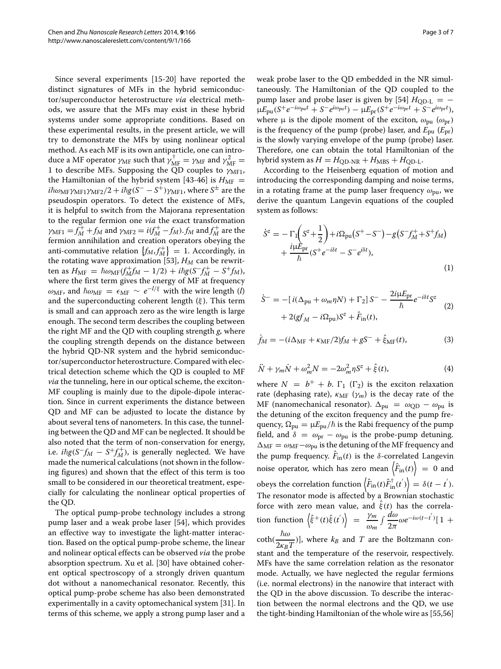Since several experiments [\[15-](#page-5-12)[20\]](#page-5-13) have reported the distinct signatures of MFs in the hybrid semiconductor/superconductor heterostructure *via* electrical methods, we assure that the MFs may exist in these hybrid systems under some appropriate conditions. Based on these experimental results, in the present article, we will try to demonstrate the MFs by using nonlinear optical method. As each MF is its own antiparticle, one can introduce a MF operator  $\gamma_{\text{MF}}$  such that  $\gamma_{\text{MF}}^{\dagger} = \gamma_{\text{MF}}$  and  $\gamma_{\text{MF}}^2 =$ 1 to describe MFs. Supposing the  $\overline{Q}D$  couples to  $\gamma_{\text{MF1}}$ , the Hamiltonian of the hybrid system [\[43-](#page-5-35)[46\]](#page-5-36) is  $H_{\text{MF}} =$  $i\hbar\omega_{\rm MF}\gamma_{\rm MF1}\gamma_{\rm MF2}/2 + i\hbar g(S^- - S^{\dot +})\gamma_{\rm MF1}$ , where  $S^{\pm}$  are the pseudospin operators. To detect the existence of MFs, it is helpful to switch from the Majorana representation to the regular fermion one *via* the exact transformation *γ*<sub>MF1</sub> =  $f_M^+$  +  $f_M$  and  $γ_{MF2}$  =  $i(f_M^+$  –  $f_M$ ).  $f_M$  and  $f_M^+$  are the fermion annihilation and creation operators obeying the anti-commutative relation  $\{f_M, f_M^+\} = 1$ . Accordingly, in the rotating wave approximation [\[53\]](#page-6-5),  $H_M$  can be rewrit $t_{\text{R}} = \hbar \omega_{\text{MF}} (f_M^+ f_M - 1/2) + i \hbar g (S^- f_M^+ - S^+ f_M),$ where the first term gives the energy of MF at frequency  $ω_{MF}$ , and  $\hbar ω_{MF} = \epsilon_{MF} \sim e^{-l/\xi}$  with the wire length (*l*) and the superconducting coherent length  $(\xi)$ . This term is small and can approach zero as the wire length is large enough. The second term describes the coupling between the right MF and the QD with coupling strength *g*, where the coupling strength depends on the distance between the hybrid QD-NR system and the hybrid semiconductor/superconductor heterostructure. Compared with electrical detection scheme which the QD is coupled to MF *via* the tunneling, here in our optical scheme, the exciton-MF coupling is mainly due to the dipole-dipole interaction. Since in current experiments the distance between QD and MF can be adjusted to locate the distance by about several tens of nanometers. In this case, the tunneling between the QD and MF can be neglected. It should be also noted that the term of non-conservation for energy, i.e.  $i\hbar g(S^-f_M - S^+f_M^+)$ , is generally neglected. We have made the numerical calculations (not shown in the following figures) and shown that the effect of this term is too small to be considered in our theoretical treatment, especially for calculating the nonlinear optical properties of the QD.

The optical pump-probe technology includes a strong pump laser and a weak probe laser [\[54\]](#page-6-6), which provides an effective way to investigate the light-matter interaction. Based on the optical pump-probe scheme, the linear and nolinear optical effects can be observed *via* the probe absorption spectrum. Xu et al. [\[30\]](#page-5-23) have obtained coherent optical spectroscopy of a strongly driven quantum dot without a nanomechanical resonator. Recently, this optical pump-probe scheme has also been demonstrated experimentally in a cavity optomechanical system [\[31\]](#page-5-24). In terms of this scheme, we apply a strong pump laser and a weak probe laser to the QD embedded in the NR simultaneously. The Hamiltonian of the QD coupled to the pump laser and probe laser is given by [\[54\]](#page-6-6)  $H_{OD-L}$  = −  $\mu E_{\text{pu}}(S^+e^{-i\omega_{\text{pu}}t} + S^-e^{i\omega_{\text{pu}}t}) - \mu E_{\text{pr}}(S^+e^{-i\omega_{\text{pr}}t} + S^-e^{i\omega_{\text{pr}}t}),$ where  $\mu$  is the dipole moment of the exciton,  $\omega_{\text{pu}}$  ( $\omega_{\text{pr}}$ ) is the frequency of the pump (probe) laser, and *E*pu (*E*pr) is the slowly varying envelope of the pump (probe) laser. Therefore, one can obtain the total Hamiltonian of the hybrid system as  $H = H_{\text{QD-NR}} + H_{\text{MBS}} + H_{\text{QD-L}}$ .

According to the Heisenberg equation of motion and introducing the corresponding damping and noise terms, in a rotating frame at the pump laser frequency  $\omega_{\text{pu}}$ , we derive the quantum Langevin equations of the coupled system as follows:

<span id="page-2-0"></span>
$$
\dot{S}^{z} = -\Gamma_{1}\left(S^{z} + \frac{1}{2}\right) + i\Omega_{\text{pu}}\left(S^{+} - S^{-}\right) - g\left(S^{-}f_{M}^{+} + S^{+}f_{M}\right) \n+ \frac{i\mu E_{\text{pr}}}{\hbar}\left(S^{+}e^{-i\delta t} - S^{-}e^{i\delta t}\right),
$$
\n(1)

$$
\dot{S}^- = -[i(\Delta_{\text{pu}} + \omega_m \eta N) + \Gamma_2] S^- - \frac{2i\mu E_{\text{pr}}}{\hbar} e^{-i\delta t} S^z
$$
  
+ 2(gf<sub>M</sub> - i\Omega\_{\text{pu}})S^z + \hat{F}\_{\text{in}}(t), (2)

$$
\dot{f}_M = -(i\Delta_{\rm MF} + \kappa_{\rm MF}/2)f_M + gS^- + \hat{\xi}_{\rm MF}(t),
$$
 (3)

<span id="page-2-1"></span>
$$
\ddot{N} + \gamma_m \dot{N} + \omega_m^2 N = -2\omega_m^2 \eta S^z + \hat{\xi}(t),\tag{4}
$$

where  $N = b^{+} + b$ .  $\Gamma_1$  ( $\Gamma_2$ ) is the exciton relaxation rate (dephasing rate),  $\kappa_{MF}$  ( $\gamma_m$ ) is the decay rate of the MF (nanomechanical resonator).  $\Delta_{\text{pu}} = \omega_{\text{QD}} - \omega_{\text{pu}}$  is the detuning of the exciton frequency and the pump frequency,  $\Omega_{\rm pu} = \mu E_{\rm pu}/\hbar$  is the Rabi frequency of the pump field, and  $\delta = \omega_{\text{pr}} - \omega_{\text{pu}}$  is the probe-pump detuning.  $\Delta_{\text{MF}} = \omega_{\text{MF}} - \omega_{\text{pu}}$  is the detuning of the MF frequency and the pump frequency.  $\hat{F}_{in}(t)$  is the  $\delta$ -correlated Langevin noise operator, which has zero mean  $\left\langle \hat{F}_\text{in}(t) \right\rangle \ = \ 0$  and  $\langle \hat{F}_{\rm in}(t)\hat{F}_{\rm in}^{\dag}(t')\rangle=\delta(t-t') .$ The resonator mode is affected by a Brownian stochastic force with zero mean value, and  $\xi(t)$  has the correlation function  $\left\langle \hat{\xi}^+(t)\hat{\xi}(t') \right\rangle = \frac{\gamma_m}{\omega_m}$  $\int \frac{d\omega}{2\pi} \omega e^{-i\omega(t-t')}$  [ 1 + coth(  $\frac{\hbar \omega}{2\kappa_B T}$ )], where  $k_B$  and *T* are the Boltzmann constant and the temperature of the reservoir, respectively. MFs have the same correlation relation as the resonator mode. Actually, we have neglected the regular fermions (i.e. normal electrons) in the nanowire that interact with the QD in the above discussion. To describe the interac-

tion between the normal electrons and the QD, we use the tight-binding Hamiltonian of the whole wire as [\[55](#page-6-7)[,56\]](#page-6-8)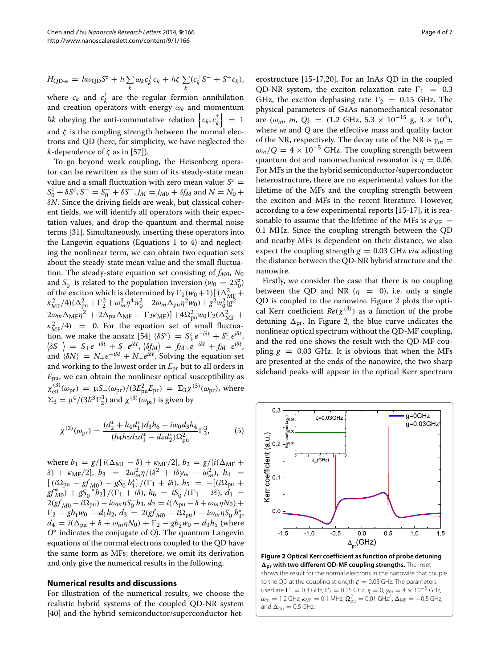$$
H_{\text{QD-e}} = \hbar \omega_{\text{QD}} S^z + \hbar \sum_k \omega_k c_k^+ c_k + \hbar \zeta \sum_k (c_k^+ S^- + S^+ c_k),
$$
  
where  $c_k$  and  $c_k^{\dagger}$  are the regular fermion annihilation

 $\alpha$   $c_k$  are  $\alpha$ *<sup>k</sup>* are the regular fermion annihilation and creation operators with energy  $\omega_k$  and momentum  $\hbar k$  obeying the anti-commutative relation  $\left\{c_k, c_k^\dagger\right\}$  $\begin{bmatrix} \dot{x} \\ k \end{bmatrix} = 1$ and  $\zeta$  is the coupling strength between the normal electrons and QD (here, for simplicity, we have neglected the *k*-dependence of  $\zeta$  as in [\[57\]](#page-6-9)).

To go beyond weak coupling, the Heisenberg operator can be rewritten as the sum of its steady-state mean value and a small fluctuation with zero mean value:  $S^z =$  $S_0^z + \delta S^z$ ,  $S^- = S_0^- + \delta S^-$ ,  $f_M = f_{M0} + \delta f_M$  and  $N = N_0 +$ δ*N*. Since the driving fields are weak, but classical coherent fields, we will identify all operators with their expectation values, and drop the quantum and thermal noise terms [\[31\]](#page-5-24). Simultaneously, inserting these operators into the Langevin equations (Equations [1](#page-2-0) to [4\)](#page-2-1) and neglecting the nonlinear term, we can obtain two equation sets about the steady-state mean value and the small fluctuation. The steady-state equation set consisting of  $f_{M0}$ ,  $N_0$ and *S*<sup> $\overline{0}$  is related to the population inversion ( $w_0 = 2S_0^z$ )</sup> of the exciton which is determined by  $\Gamma_1(w_0+1)[(\Delta_{\text{MF}}^2+\kappa_{\text{MF}}^2/4)(\Delta_{\text{pu}}^2+\Gamma_2^2+\omega_m^2\eta^4w_0^2-2\omega_m\Delta_{\text{pu}}\eta^2w_0)+g^2w_0^2(g^2 2\omega_m\Delta_{\text{MF}}\eta^2 + 2\Delta_{\text{pu}}\Delta_{\text{MF}} - \Gamma_2\kappa_{\text{MF}}\right] + 4\Omega_{\text{pu}}^2w_0\Gamma_2(\Delta_{\text{MF}}^2 +$  $\kappa_{\text{MF}}^2/4$  = 0. For the equation set of small fluctuation, we make the ansatz  $[54] \langle \delta S^z \rangle = S^z_+ e^{-i\delta t} + S^z_- e^{i\delta t}$  $[54] \langle \delta S^z \rangle = S^z_+ e^{-i\delta t} + S^z_- e^{i\delta t}$  $\langle \delta S^{-} \rangle = S_{+}e^{-i\delta t} + S_{-}e^{i\delta t}$ ,  $\langle \delta f_{M} \rangle = f_{M+}e^{-i\delta t} + f_{M-}e^{i\delta t}$ , and  $\langle \delta N \rangle = N_+ e^{-i\delta t} + N_- e^{i\delta t}$ . Solving the equation set and working to the lowest order in *E*pr but to all orders in *E*pu, we can obtain the nonlinear optical susceptibility as  $χ_{\text{eff}}^{(3)}(ω_{\text{pr}}) = μS_{-}(ω_{\text{pr}})/(3E_{\text{pu}}^2E_{\text{pr}}) = Σ_3χ^{(3)}(ω_{\text{pr}})$ , where  $\Sigma_3 = \mu^4/(3\hbar^3 \Gamma_2^3)$  and  $\chi^{(3)}(\omega_{\text{pr}})$  is given by

$$
\chi^{(3)}(\omega_{\text{pr}}) = \frac{(d_2^* + h_4 d_1^*) d_3 h_6 - i w_0 d_3 h_4}{(h_4 h_5 d_3 d_1^* - d_4 d_2^*) \Omega_{\text{pu}}^2} \Gamma_2^3,\tag{5}
$$

where  $b_1 = g/[i(\Delta_{\text{MF}} - \delta) + \kappa_{\text{MF}}/2], b_2 = g/[i(\Delta_{\text{MF}} + \delta)]$  $δ) + κ_{MF}/2$ ,  $b_3 = 2ω_m^2η/(\delta^2 + iδγ_m - ω_m^2)$ ,  $h_4 =$  $[(i\Omega_{\text{pu}} - gf_{M0}) - gS_0^{-}b_1^*]/(\Gamma_1 + i\delta), h_5 = -[(i\Omega_{\text{pu}} +$  $g f_{M0}^*$ ) +  $g S_0^{-*} b_2$ ] /( $\Gamma_1 + i \delta$ ),  $h_6 = i S_0^-/(\Gamma_1 + i \delta)$ ,  $d_1 =$  $2(gf_{M0} - i\Omega_{\text{pu}}) - i\omega_m \eta S_0^- b_3, d_2 = i(\Delta_{\text{pu}} - \delta + \omega_m \eta N_0) +$  $\Gamma_2 - gb_1w_0 - d_1h_2, d_3 = 2(gf_{M0} - i\Omega_{\text{pu}}) - i\omega_m\eta S_0^{-}b_3^{*}$  $d_4 = i(\Delta_{\text{pu}} + \delta + \omega_m \eta N_0) + \Gamma_2 - gb_2 w_0 - d_3 h_5$  (where *O*∗ indicates the conjugate of *O*). The quantum Langevin equations of the normal electrons coupled to the QD have the same form as MFs; therefore, we omit its derivation and only give the numerical results in the following.

## **Numerical results and discussions**

For illustration of the numerical results, we choose the realistic hybrid systems of the coupled QD-NR system [\[40\]](#page-5-33) and the hybrid semiconductor/superconductor heterostructure [\[15](#page-5-12)[-17,](#page-5-37)[20\]](#page-5-13). For an InAs QD in the coupled QD-NR system, the exciton relaxation rate  $\Gamma_1 = 0.3$ GHz, the exciton dephasing rate  $\Gamma_2 = 0.15$  GHz. The physical parameters of GaAs nanomechanical resonator are  $(\omega_m, m, Q) = (1.2 \text{ GHz}, 5.3 \times 10^{-15} \text{ g}, 3 \times 10^4)$ , where *m* and *Q* are the effective mass and quality factor of the NR, respectively. The decay rate of the NR is  $\gamma_m =$  $\omega_m/Q = 4 \times 10^{-5}$  GHz. The coupling strength between quantum dot and nanomechanical resonator is  $\eta = 0.06$ . For MFs in the the hybrid semiconductor/superconductor heterostructure, there are no experimental values for the lifetime of the MFs and the coupling strength between the exciton and MFs in the recent literature. However, according to a few experimental reports [\[15-](#page-5-12)[17\]](#page-5-37), it is reasonable to assume that the lifetime of the MFs is  $\kappa_{\text{MF}} =$ 0.1 MHz. Since the coupling strength between the QD and nearby MFs is dependent on their distance, we also expect the coupling strength  $g = 0.03$  GHz *via* adjusting the distance between the QD-NR hybrid structure and the nanowire.

Firstly, we consider the case that there is no coupling between the QD and NR  $(\eta = 0)$ , i.e. only a single QD is coupled to the nanowire. Figure [2](#page-3-0) plots the optical Kerr coefficient  $Re(\chi^{(3)})$  as a function of the probe detuning  $\Delta_{\text{pr}}$ . In Figure [2,](#page-3-0) the blue curve indicates the nonlinear optical spectrum without the QD-MF coupling, and the red one shows the result with the QD-MF coupling  $g = 0.03$  GHz. It is obvious that when the MFs are presented at the ends of the nanowire, the two sharp sideband peaks will appear in the optical Kerr spectrum

<span id="page-3-0"></span> $0.3$ 

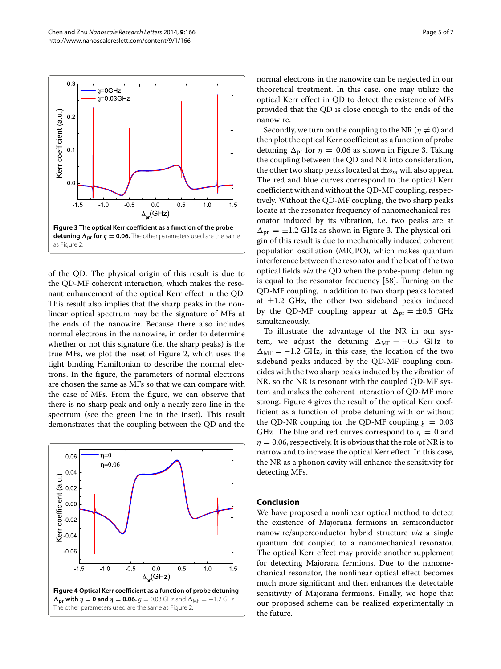

<span id="page-4-0"></span>of the QD. The physical origin of this result is due to the QD-MF coherent interaction, which makes the resonant enhancement of the optical Kerr effect in the QD. This result also implies that the sharp peaks in the nonlinear optical spectrum may be the signature of MFs at the ends of the nanowire. Because there also includes normal electrons in the nanowire, in order to determine whether or not this signature (i.e. the sharp peaks) is the true MFs, we plot the inset of Figure [2,](#page-3-0) which uses the tight binding Hamiltonian to describe the normal electrons. In the figure, the parameters of normal electrons are chosen the same as MFs so that we can compare with the case of MFs. From the figure, we can observe that there is no sharp peak and only a nearly zero line in the spectrum (see the green line in the inset). This result demonstrates that the coupling between the QD and the

<span id="page-4-1"></span>

normal electrons in the nanowire can be neglected in our theoretical treatment. In this case, one may utilize the optical Kerr effect in QD to detect the existence of MFs provided that the QD is close enough to the ends of the nanowire.

Secondly, we turn on the coupling to the NR ( $\eta \neq 0$ ) and then plot the optical Kerr coefficient as a function of probe detuning  $\Delta_{\text{pr}}$  for  $\eta = 0.06$  as shown in Figure [3.](#page-4-0) Taking the coupling between the QD and NR into consideration, the other two sharp peaks located at  $\pm \omega_m$  will also appear. The red and blue curves correspond to the optical Kerr coefficient with and without the QD-MF coupling, respectively. Without the QD-MF coupling, the two sharp peaks locate at the resonator frequency of nanomechanical resonator induced by its vibration, i.e. two peaks are at  $\Delta_{\text{pr}} = \pm 1.2$  GHz as shown in Figure [3.](#page-4-0) The physical origin of this result is due to mechanically induced coherent population oscillation (MICPO), which makes quantum interference between the resonator and the beat of the two optical fields *via* the QD when the probe-pump detuning is equal to the resonator frequency [\[58\]](#page-6-10). Turning on the QD-MF coupling, in addition to two sharp peaks located at  $\pm 1.2$  GHz, the other two sideband peaks induced by the QD-MF coupling appear at  $\Delta_{\text{pr}} = \pm 0.5$  GHz simultaneously.

To illustrate the advantage of the NR in our system, we adjust the detuning  $\Delta_{\text{MF}} = -0.5$  GHz to  $\Delta_{\text{MF}} = -1.2$  GHz, in this case, the location of the two sideband peaks induced by the QD-MF coupling coincides with the two sharp peaks induced by the vibration of NR, so the NR is resonant with the coupled QD-MF system and makes the coherent interaction of QD-MF more strong. Figure [4](#page-4-1) gives the result of the optical Kerr coefficient as a function of probe detuning with or without the QD-NR coupling for the QD-MF coupling  $g = 0.03$ GHz. The blue and red curves correspond to  $\eta = 0$  and  $\eta = 0.06$ , respectively. It is obvious that the role of NR is to narrow and to increase the optical Kerr effect. In this case, the NR as a phonon cavity will enhance the sensitivity for detecting MFs.

### **Conclusion**

We have proposed a nonlinear optical method to detect the existence of Majorana fermions in semiconductor nanowire/superconductor hybrid structure *via* a single quantum dot coupled to a nanomechanical resonator. The optical Kerr effect may provide another supplement for detecting Majorana fermions. Due to the nanomechanical resonator, the nonlinear optical effect becomes much more significant and then enhances the detectable sensitivity of Majorana fermions. Finally, we hope that our proposed scheme can be realized experimentally in the future.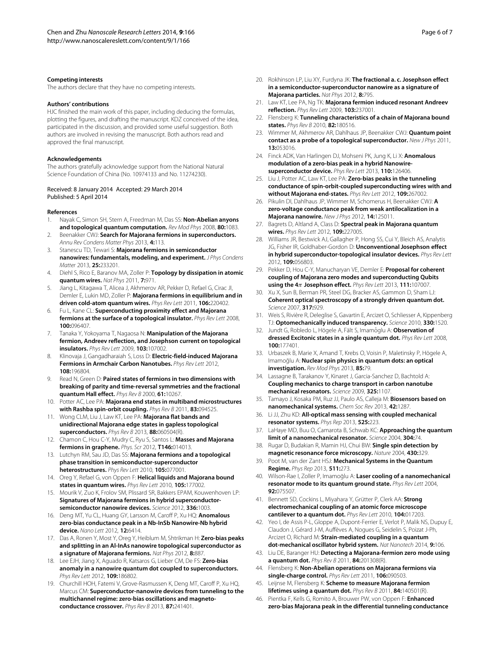#### **Competing interests**

The authors declare that they have no competing interests.

#### **Authors' contributions**

HJC finished the main work of this paper, including deducing the formulas, plotting the figures, and drafting the manuscript. KDZ conceived of the idea, participated in the discussion, and provided some useful suggestion. Both authors are involved in revising the manuscript. Both authors read and approved the final manuscript.

#### **Acknowledgements**

The authors gratefully acknowledge support from the National Natural Science Foundation of China (No. 10974133 and No. 11274230).

#### Received: 8 January 2014 Accepted: 29 March 2014 Published: 5 April 2014

#### **References**

- <span id="page-5-0"></span>1. Nayak C, Simon SH, Stern A, Freedman M, Das SS: **Non-Abelian anyons and topological quantum computation.** *Rev Mod Phys* 2008, **80:**1083.
- 2. Beenakker CWJ: **Search for Majorana fermions in superconductors.** *Annu Rev Condens Matter Phys* 2013, **4:**113.
- <span id="page-5-1"></span>3. Stanescu TD, Tewari S: **Majorana fermions in semiconductor nanowires: fundamentals, modeling, and experiment.** *J Phys Condens Matter* 2013, **25:**233201.
- <span id="page-5-2"></span>4. Diehl S, Rico E, Baranov MA, Zoller P: **Topology by dissipation in atomic quantum wires.** *Nat Phys* 2011, **7:**971.
- <span id="page-5-3"></span>5. Jiang L, Kitagawa T, Alicea J, Akhmerov AR, Pekker D, Refael G, Cirac JI, Demler E, Lukin MD, Zoller P: **Majorana fermions in equilibrium and in driven cold-atom quantum wires.** *Phys Rev Lett* 2011, **106:**220402.
- <span id="page-5-4"></span>6. Fu L, Kane CL: **Superconducting proximity effect and Majorana fermions at the surface of a topological insulator.** *Phys Rev Lett* 2008, **100:**096407.
- <span id="page-5-5"></span>7. Tanaka Y, Yokoyama T, Nagaosa N: **Manipulation of the Majorana fermion, Andreev reflection, and Josephson current on topological insulators.** *Phys Rev Lett* 2009, **103:**107002.
- <span id="page-5-6"></span>8. Klinovaja J, Gangadharaiah S, Loss D: **Electric-field-induced Majorana Fermions in Armchair Carbon Nanotubes.** *Phys Rev Lett* 2012, **108:**196804.
- <span id="page-5-7"></span>Read N, Green D: Paired states of fermions in two dimensions with **breaking of parity and time-reversal symmetries and the fractional quantum Hall effect.** *Phys Rev B* 2000, **61:**10267.
- 10. Potter AC, Lee PA: **Majorana end states in multiband microstructures with Rashba spin-orbit coupling.** *Phys Rev B* 2011, **83:**094525.
- <span id="page-5-8"></span>11. Wong CLM, Liu J, Law KT, Lee PA: **Majorana flat bands and unidirectional Majorana edge states in gapless topological superconductors.** *Phys Rev B* 2013, **88:**060504(R).
- <span id="page-5-9"></span>12. Chamon C, Hou C-Y, Mudry C, Ryu S, Santos L: **Masses and Majorana fermions in graphene.** *Phys. Scr* 2012, **T146:**014013.
- <span id="page-5-10"></span>13. Lutchyn RM, Sau JD, Das SS: **Majorana fermions and a topological phase transition in semiconductor-superconductor heterostructures.** *Phys Rev Lett* 2010, **105:**077001.
- <span id="page-5-11"></span>14. Oreg Y, Refael G, von Oppen F: **Helical liquids and Majorana bound states in quantum wires.** *Phys Rev Lett* 2010, **105:**177002.
- <span id="page-5-12"></span>15. Mourik V, Zuo K, Frolov SM, Plissard SR, Bakkers EPAM, Kouwenhoven LP: **Signatures of Majorana fermions in hybrid superconductorsemiconductor nanowire devices.** *Science* 2012, **336:**1003.
- 16. Deng MT, Yu CL, Huang GY, Larsson M, Caroff P, Xu HQ: **Anomalous zero-bias conductance peak in a Nb-InSb Nanowire-Nb hybrid device.** *Nano Lett* 2012, **12:**6414.
- <span id="page-5-37"></span>17. Das A, Ronen Y, Most Y, Oreg Y, Heiblum M, Shtrikman H: **Zero-bias peaks and splitting in an Al-InAs nanowire topological superconductor as a signature of Majorana fermions.** *Nat Phys* 2012, **8:**887.
- <span id="page-5-17"></span>18. Lee EJH, Jiang X, Aguado R, Katsaros G, Lieber CM, De FS: **Zero-bias anomaly in a nanowire quantum dot coupled to superconductors.** *Phys Rev Lett* 2012, **109:**186802.
- <span id="page-5-16"></span>19. Churchill HOH, Fatemi V, Grove-Rasmussen K, Deng MT, Caroff P, Xu HQ, Marcus CM: **Superconductor-nanowire devices from tunneling to the multichannel regime: zero-bias oscillations and magnetoconductance crossover.** *Phys Rev B* 2013, **87:**241401.
- <span id="page-5-13"></span>20. Rokhinson LP, Liu XY, Furdyna JK: The fractional a. c. Josephson effect **in a semiconductor-superconductor nanowire as a signature of Majorana particles.** *Nat Phys* 2012, **8:**795.
- <span id="page-5-14"></span>21. Law KT, Lee PA, Ng TK: **Majorana fermion induced resonant Andreev reflection.** *Phys Rev Lett* 2009, **103:**237001.
- 22. Flensberg K: **Tunneling characteristics of a chain of Majorana bound states.** *Phys Rev B* 2010, **82:**180516.
- <span id="page-5-15"></span>23. Wimmer M, Akhmerov AR, Dahlhaus JP, Beenakker CWJ: **Quantum point contact as a probe of a topological superconductor.** *New J Phys* 2011, **13:**053016.
- <span id="page-5-18"></span>24. Finck ADK, Van Harlingen DJ, Mohseni PK, Jung K, Li X: **Anomalous modulation of a zero-bias peak in a hybrid Nanowiresuperconductor device.** *Phys Rev Lett* 2013, **110:**126406.
- <span id="page-5-19"></span>25. Liu J, Potter AC, Law KT, Lee PA: **Zero-bias peaks in the tunneling conductance of spin-orbit-coupled superconducting wires with and without Majorana end-states.** *Phys Rev Lett* 2012, **109:**267002.
- 26. Pikulin DI, Dahlhaus JP, Wimmer M, Schomerus H, Beenakker CWJ: **A zero-voltage conductance peak from weak antilocalization in a Majorana nanowire.** *New J Phys* 2012, **14:**125011.
- <span id="page-5-20"></span>27. Bagrets D, Altland A, Class D: **Spectral peak in Majorana quantum wires.** *Phys Rev Lett* 2012, **109:**227005.
- <span id="page-5-21"></span>28. Williams JR, Bestwick AJ, Gallagher P, Hong SS, Cui Y, Bleich AS, Analytis JG, Fisher IR, Goldhaber-Gordon D: **Unconventional Josephson effect in hybrid superconductor-topological insulator devices.** *Phys Rev Lett* 2012, **109:**056803.
- <span id="page-5-22"></span>29. Pekker D, Hou C-Y, Manucharyan VE, Demler E: **Proposal for coherent coupling of Majorana zero modes and superconducting Qubits using the 4**π **Josephson effect.** *Phys Rev Lett* 2013, **111:**107007.
- <span id="page-5-23"></span>Xu X, Sun B, Berman PR, Steel DG, Bracker AS, Gammon D, Sham LJ: **Coherent optical spectroscopy of a strongly driven quantum dot.** *Science* 2007, **317:**929.
- <span id="page-5-24"></span>31. Weis S, Rivière R, Deleglise S, Gavartin E, Arcizet O, Schliesser A, Kippenberg TJ: **Optomechanically induced transparency.** *Science* 2010, **330:**1520.
- <span id="page-5-25"></span>32. Jundt G, Robledo L, Högele A, Fält S, Imamoglu A: Observation of **dressed Excitonic states in a single quantum dot.** *Phys Rev Lett* 2008, **100:**177401.
- <span id="page-5-26"></span>33. Urbaszek B, Marie X, Amand T, Krebs O, Voisin P, Maletinsky P, Högele A, Imamoğlu A: Nuclear spin physics in quantum dots: an optical **investigation.** *Rev Mod Phys* 2013, **85:**79.
- <span id="page-5-27"></span>34. Lassagne B, Tarakanov Y, Kinaret J, Garcia-Sanchez D, Bachtold A: **Coupling mechanics to charge transport in carbon nanotube mechanical resonators.** *Science* 2009, **325:**1107.
- <span id="page-5-28"></span>35. Tamayo J, Kosaka PM, Ruz JJ, Paulo AS, Calleja M: **Biosensors based on nanomechanical systems.** *Chem Soc Rev* 2013, **42:**1287.
- <span id="page-5-29"></span>36. Li JJ, Zhu KD: **All-optical mass sensing with coupled mechanical resonator systems.** *Phys Rep* 2013, **525:**223.
- <span id="page-5-30"></span>37. LaHaye MD, Buu O, Camarota B, Schwab KC: **Approaching the quantum limit of a nanomechanical resonator.** *Science* 2004, **304:**74.
- <span id="page-5-31"></span>38. Rugar D, Budakian R, Mamin HJ, Chui BW: **Single spin detection by magnetic resonance force microscopy.** *Nature* 2004, **430:**329.
- <span id="page-5-32"></span>39. Poot M, van der Zant HSJ: **Mechanical Systems in the Quantum Regime.** *Phys Rep* 2013, **511:**273.
- <span id="page-5-33"></span>40. Wilson-Rae I, Zoller P, Imamoglu A: Laser cooling of a nanomechanical **resonator mode to its quantum ground state.** *Phys Rev Lett* 2004, **92:**075507.
- 41. Bennett SD, Cockins L, Miyahara Y, Grütter P, Clerk AA: **Strong electromechanical coupling of an atomic force microscope cantilever to a quantum dot.** *Phys Rev Lett* 2010, **104:**017203.
- <span id="page-5-34"></span>42. Yeo I, de Assis P-L, Gloppe A, Dupont-Ferrier E, Verlot P, Malik NS, Dupuy E, Claudon J, Gérard J-M, Auffèves A, Nogues G, Seidelin S, Poizat J-Ph, Arcizet O, Richard M: **Strain-mediated coupling in a quantum dot-mechanical oscillator hybrid system.** *Nat Nanotech* 2014, **9:**106.
- <span id="page-5-35"></span>43. Liu DE, Baranger HU: **Detecting a Majorana-fermion zero mode using a quantum dot.** *Phys Rev B* 2011, **84:**201308(R).
- 44. Flensberg K: **Non-Abelian operations on Majorana fermions via single-charge control.** *Phys Rev Lett* 2011, **106:**090503.
- 45. Leijnse M, Flensberg K: **Scheme to measure Majorana fermion lifetimes using a quantum dot.** *Phys Rev B* 2011, **84:**140501(R).
- <span id="page-5-36"></span>46. Pientka F, Kells G, Romito A, Brouwer PW, von Oppen F: **Enhanced zero-bias Majorana peak in the differential tunneling conductance**